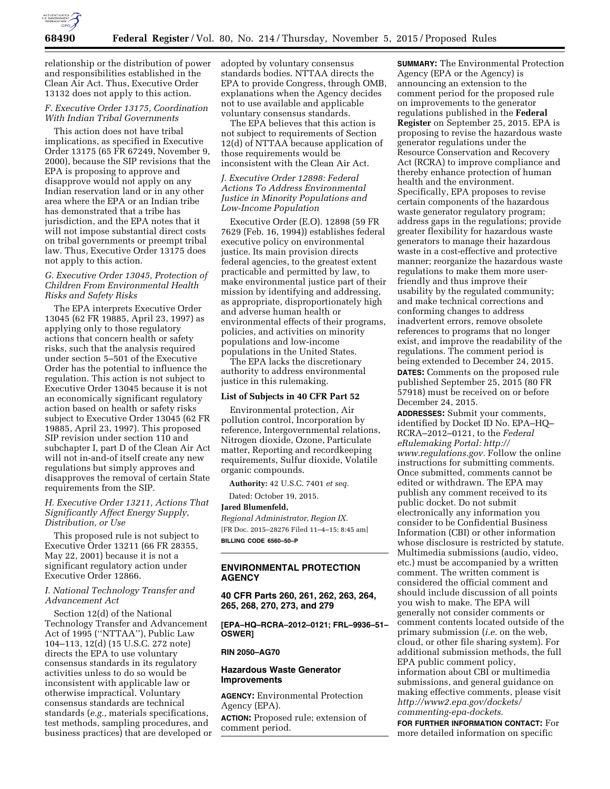

relationship or the distribution of power and responsibilities established in the Clean Air Act. Thus, Executive Order 13132 does not apply to this action.

# *F. Executive Order 13175, Coordination With Indian Tribal Governments*

This action does not have tribal implications, as specified in Executive Order 13175 (65 FR 67249, November 9, 2000), because the SIP revisions that the EPA is proposing to approve and disapprove would not apply on any Indian reservation land or in any other area where the EPA or an Indian tribe has demonstrated that a tribe has jurisdiction, and the EPA notes that it will not impose substantial direct costs on tribal governments or preempt tribal law. Thus, Executive Order 13175 does not apply to this action.

## *G. Executive Order 13045, Protection of Children From Environmental Health Risks and Safety Risks*

The EPA interprets Executive Order 13045 (62 FR 19885, April 23, 1997) as applying only to those regulatory actions that concern health or safety risks, such that the analysis required under section 5–501 of the Executive Order has the potential to influence the regulation. This action is not subject to Executive Order 13045 because it is not an economically significant regulatory action based on health or safety risks subject to Executive Order 13045 (62 FR 19885, April 23, 1997). This proposed SIP revision under section 110 and subchapter I, part D of the Clean Air Act will not in-and-of itself create any new regulations but simply approves and disapproves the removal of certain State requirements from the SIP.

## *H. Executive Order 13211, Actions That Significantly Affect Energy Supply, Distribution, or Use*

This proposed rule is not subject to Executive Order 13211 (66 FR 28355, May 22, 2001) because it is not a significant regulatory action under Executive Order 12866.

# *I. National Technology Transfer and Advancement Act*

Section 12(d) of the National Technology Transfer and Advancement Act of 1995 (''NTTAA''), Public Law 104–113, 12(d) (15 U.S.C. 272 note) directs the EPA to use voluntary consensus standards in its regulatory activities unless to do so would be inconsistent with applicable law or otherwise impractical. Voluntary consensus standards are technical standards (*e.g.,* materials specifications, test methods, sampling procedures, and business practices) that are developed or adopted by voluntary consensus standards bodies. NTTAA directs the EPA to provide Congress, through OMB, explanations when the Agency decides not to use available and applicable voluntary consensus standards.

The EPA believes that this action is not subject to requirements of Section 12(d) of NTTAA because application of those requirements would be inconsistent with the Clean Air Act.

## *J. Executive Order 12898: Federal Actions To Address Environmental Justice in Minority Populations and Low-Income Population*

Executive Order (E.O). 12898 (59 FR 7629 (Feb. 16, 1994)) establishes federal executive policy on environmental justice. Its main provision directs federal agencies, to the greatest extent practicable and permitted by law, to make environmental justice part of their mission by identifying and addressing, as appropriate, disproportionately high and adverse human health or environmental effects of their programs, policies, and activities on minority populations and low-income populations in the United States.

The EPA lacks the discretionary authority to address environmental justice in this rulemaking.

#### **List of Subjects in 40 CFR Part 52**

Environmental protection, Air pollution control, Incorporation by reference, Intergovernmental relations, Nitrogen dioxide, Ozone, Particulate matter, Reporting and recordkeeping requirements, Sulfur dioxide, Volatile organic compounds.

**Authority:** 42 U.S.C. 7401 *et seq.* 

Dated: October 19, 2015.

#### **Jared Blumenfeld,**

*Regional Administrator, Region IX.*  [FR Doc. 2015–28276 Filed 11–4–15; 8:45 am] **BILLING CODE 6560–50–P** 

# **ENVIRONMENTAL PROTECTION AGENCY**

**40 CFR Parts 260, 261, 262, 263, 264, 265, 268, 270, 273, and 279** 

**[EPA–HQ–RCRA–2012–0121; FRL–9936–51– OSWER]** 

#### **RIN 2050–AG70**

## **Hazardous Waste Generator Improvements**

**AGENCY:** Environmental Protection Agency (EPA).

**ACTION:** Proposed rule; extension of comment period.

**SUMMARY:** The Environmental Protection Agency (EPA or the Agency) is announcing an extension to the comment period for the proposed rule on improvements to the generator regulations published in the **Federal Register** on September 25, 2015. EPA is proposing to revise the hazardous waste generator regulations under the Resource Conservation and Recovery Act (RCRA) to improve compliance and thereby enhance protection of human health and the environment. Specifically, EPA proposes to revise certain components of the hazardous waste generator regulatory program; address gaps in the regulations; provide greater flexibility for hazardous waste generators to manage their hazardous waste in a cost-effective and protective manner; reorganize the hazardous waste regulations to make them more userfriendly and thus improve their usability by the regulated community; and make technical corrections and conforming changes to address inadvertent errors, remove obsolete references to programs that no longer exist, and improve the readability of the regulations. The comment period is being extended to December 24, 2015. **DATES:** Comments on the proposed rule published September 25, 2015 (80 FR 57918) must be received on or before December 24, 2015.

**ADDRESSES:** Submit your comments, identified by Docket ID No. EPA–HQ– RCRA–2012–0121, to the *Federal eRulemaking Portal: [http://](http://www.regulations.gov) [www.regulations.gov.](http://www.regulations.gov)* Follow the online instructions for submitting comments. Once submitted, comments cannot be edited or withdrawn. The EPA may publish any comment received to its public docket. Do not submit electronically any information you consider to be Confidential Business Information (CBI) or other information whose disclosure is restricted by statute. Multimedia submissions (audio, video, etc.) must be accompanied by a written comment. The written comment is considered the official comment and should include discussion of all points you wish to make. The EPA will generally not consider comments or comment contents located outside of the primary submission (*i.e.* on the web, cloud, or other file sharing system). For additional submission methods, the full EPA public comment policy, information about CBI or multimedia submissions, and general guidance on making effective comments, please visit *[http://www2.epa.gov/dockets/](http://www2.epa.gov/dockets/commenting-epa-dockets) [commenting-epa-dockets.](http://www2.epa.gov/dockets/commenting-epa-dockets)* 

**FOR FURTHER INFORMATION CONTACT:** For more detailed information on specific